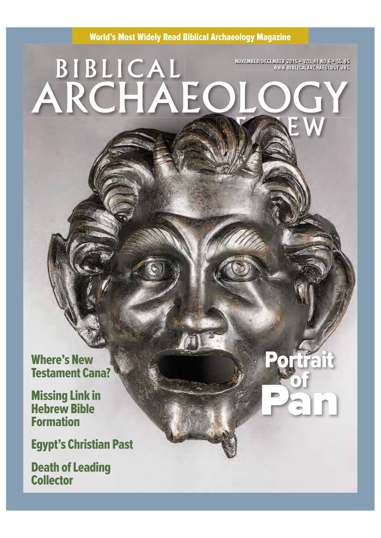World's Most Widely Read Biblical Archaeology Magazine

F

 $\triangle$ 

BIBLICAL

ARC

CH

**NOVEMBER/DECEMBER 2015 · VOL 41 NO 6 · \$5.95** 

**Portrait** 

**Pan** 

**WWW.BIBLICALARCHAEOLOGY.ORG**

5 · VOL 41 NO 6 ·

Where's New Testament Cana? Testament

Missing Link in Hebrew Bible Formation in

Egypt's Christian Past

Death of Leading **Collector Leading**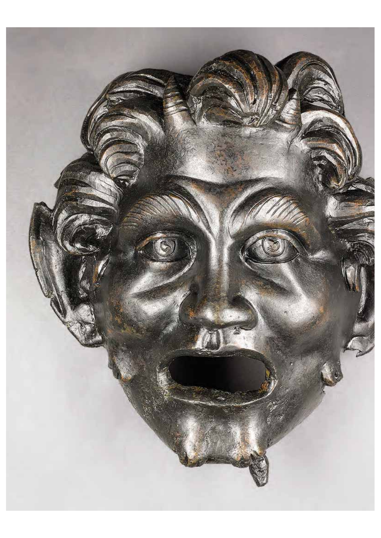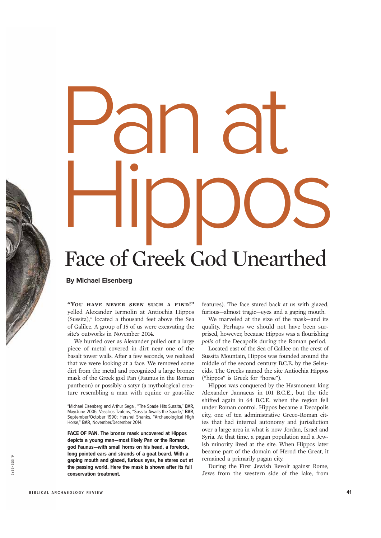# Pan at Hippos Face of Greek God Unearthed

# **By Michael Eisenberg**

**"You have never seen such a find!"**  yelled Alexander Iermolin at Antiochia Hippos (Sussita),\* located a thousand feet above the Sea of Galilee. A group of 15 of us were excavating the site's outworks in November 2014.

We hurried over as Alexander pulled out a large piece of metal covered in dirt near one of the basalt tower walls. After a few seconds, we realized that we were looking at a face. We removed some dirt from the metal and recognized a large bronze mask of the Greek god Pan (Faunus in the Roman pantheon) or possibly a satyr (a mythological creature resembling a man with equine or goat-like

\*Michael Eisenberg and Arthur Segal, "The Spade Hits Sussita," **BAR**, May/June 2006; Vassilios Tzaferis, "Sussita Awaits the Spade," **BAR**, September/October 1990; Hershel Shanks, "Archaeological High Horse," **BAR**, November/December 2014.

**FACE OF PAN. The bronze mask uncovered at Hippos depicts a young man—most likely Pan or the Roman god Faunus—with small horns on his head, a forelock, long pointed ears and strands of a goat beard. With a gaping mouth and glazed, furious eyes, he stares out at the passing world. Here the mask is shown after its full conservation treatment.**

features). The face stared back at us with glazed, furious—almost tragic—eyes and a gaping mouth.

We marveled at the size of the mask—and its quality. Perhaps we should not have been surprised, however, because Hippos was a flourishing *polis* of the Decapolis during the Roman period.

Located east of the Sea of Galilee on the crest of Sussita Mountain, Hippos was founded around the middle of the second century B.C.E. by the Seleucids. The Greeks named the site Antiochia Hippos ("hippos" is Greek for "horse").

Hippos was conquered by the Hasmonean king Alexander Jannaeus in 101 B.C.E., but the tide shifted again in 64 B.C.E. when the region fell under Roman control. Hippos became a Decapolis city, one of ten administrative Greco-Roman cities that had internal autonomy and jurisdiction over a large area in what is now Jordan, Israel and Syria. At that time, a pagan population and a Jewish minority lived at the site. When Hippos later became part of the domain of Herod the Great, it remained a primarily pagan city.

During the First Jewish Revolt against Rome, Jews from the western side of the lake, from

M. EISENBERG

M. EISENBER0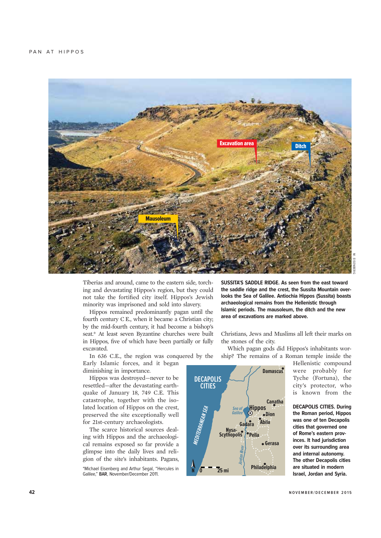

Tiberias and around, came to the eastern side, torching and devastating Hippos's region, but they could not take the fortified city itself. Hippos's Jewish minority was imprisoned and sold into slavery.

Hippos remained predominantly pagan until the fourth century C E., when it became a Christian city; by the mid-fourth century, it had become a bishop's seat.\* At least seven Byzantine churches were built in Hippos, five of which have been partially or fully excavated.

In 636 C.E., the region was conquered by the Early Islamic forces, and it began diminishing in importance.

Hippos was destroyed—never to be resettled—after the devastating earthquake of January 18, 749 C.E. This catastrophe, together with the isolated location of Hippos on the crest, preserved the site exceptionally well for 21st-century archaeologists.

The scarce historical sources dealing with Hippos and the archaeological remains exposed so far provide a glimpse into the daily lives and religion of the site's inhabitants. Pagans,

\*Michael Eisenberg and Arthur Segal, "Hercules in Galilee," **BAR**, November/December 2011.

**SUSSITA'S SADDLE RIDGE. As seen from the east toward the saddle ridge and the crest, the Sussita Mountain overlooks the Sea of Galilee. Antiochia Hippos (Sussita) boasts archaeological remains from the Hellenistic through Islamic periods. The mausoleum, the ditch and the new area of excavations are marked above.**

Christians, Jews and Muslims all left their marks on the stones of the city.

Which pagan gods did Hippos's inhabitants worship? The remains of a Roman temple inside the



Hellenistic compound were probably for Tyche (Fortuna), the city's protector, who is known from the

**DECAPOLIS CITIES. During the Roman period, Hippos was one of ten Decapolis cities that governed one of Rome's eastern provinces. It had jurisdiction over its surrounding area and internal autonomy. The other Decapolis cities are situated in modern Israel, Jordan and Syria.**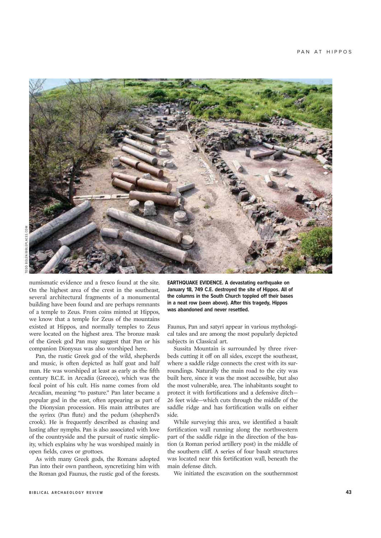

numismatic evidence and a fresco found at the site. On the highest area of the crest in the southeast, several architectural fragments of a monumental building have been found and are perhaps remnants of a temple to Zeus. From coins minted at Hippos, we know that a temple for Zeus of the mountains existed at Hippos, and normally temples to Zeus were located on the highest area. The bronze mask of the Greek god Pan may suggest that Pan or his companion Dionysus was also worshiped here.

Pan, the rustic Greek god of the wild, shepherds and music, is often depicted as half goat and half man. He was worshiped at least as early as the fifth century B.C.E. in Arcadia (Greece), which was the focal point of his cult. His name comes from old Arcadian, meaning "to pasture." Pan later became a popular god in the east, often appearing as part of the Dionysian procession. His main attributes are the syrinx (Pan flute) and the pedum (shepherd's crook). He is frequently described as chasing and lusting after nymphs. Pan is also associated with love of the countryside and the pursuit of rustic simplicity, which explains why he was worshiped mainly in open fields, caves or grottoes.

As with many Greek gods, the Romans adopted Pan into their own pantheon, syncretizing him with the Roman god Faunus, the rustic god of the forests.

**EARTHQUAKE EVIDENCE. A devastating earthquake on January 18, 749 C.E. destroyed the site of Hippos. All of the columns in the South Church toppled off their bases in a neat row (seen above). After this tragedy, Hippos was abandoned and never resettled.**

Faunus, Pan and satyri appear in various mythological tales and are among the most popularly depicted subjects in Classical art.

Sussita Mountain is surrounded by three riverbeds cutting it off on all sides, except the southeast, where a saddle ridge connects the crest with its surroundings. Naturally the main road to the city was built here, since it was the most accessible, but also the most vulnerable, area. The inhabitants sought to protect it with fortifications and a defensive ditch— 26 feet wide—which cuts through the middle of the saddle ridge and has fortification walls on either side.

While surveying this area, we identified a basalt fortification wall running along the northwestern part of the saddle ridge in the direction of the bastion (a Roman period artillery post) in the middle of the southern cliff. A series of four basalt structures was located near this fortification wall, beneath the main defense ditch.

We initiated the excavation on the southernmost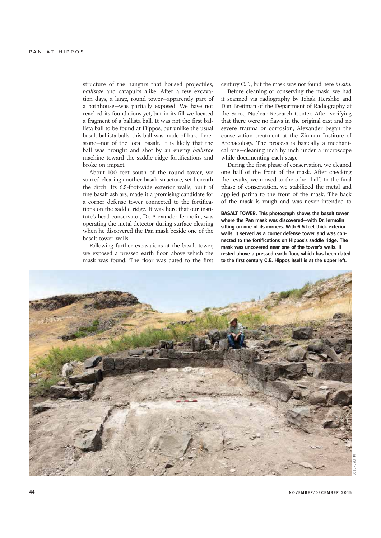structure of the hangars that housed projectiles, *ballistae* and catapults alike. After a few excavation days, a large, round tower—apparently part of a bathhouse—was partially exposed. We have not reached its foundations yet, but in its fill we located a fragment of a ballista ball. It was not the first ballista ball to be found at Hippos, but unlike the usual basalt ballista balls, this ball was made of hard limestone—not of the local basalt. It is likely that the ball was brought and shot by an enemy *ballistae* machine toward the saddle ridge fortifications and broke on impact.

About 100 feet south of the round tower, we started clearing another basalt structure, set beneath the ditch. Its 6.5-foot-wide exterior walls, built of fine basalt ashlars, made it a promising candidate for a corner defense tower connected to the fortifications on the saddle ridge. It was here that our institute's head conservator, Dr. Alexander Iermolin, was operating the metal detector during surface clearing when he discovered the Pan mask beside one of the basalt tower walls.

Following further excavations at the basalt tower, we exposed a pressed earth floor, above which the mask was found. The floor was dated to the first century C.E , but the mask was not found here *in situ*.

Before cleaning or conserving the mask, we had it scanned via radiography by Izhak Hershko and Dan Breitman of the Department of Radiography at the Soreq Nuclear Research Center. After verifying that there were no flaws in the original cast and no severe trauma or corrosion, Alexander began the conservation treatment at the Zinman Institute of Archaeology. The process is basically a mechanical one—cleaning inch by inch under a microscope while documenting each stage.

During the first phase of conservation, we cleaned one half of the front of the mask. After checking the results, we moved to the other half. In the final phase of conservation, we stabilized the metal and applied patina to the front of the mask. The back of the mask is rough and was never intended to

**BASALT TOWER. This photograph shows the basalt tower where the Pan mask was discovered—with Dr. Iermolin sitting on one of its corners. With 6.5-feet thick exterior walls, it served as a corner defense tower and was connected to the fortifications on Hippos's saddle ridge. The mask was uncovered near one of the tower's walls. It rested above a pressed earth floor, which has been dated to the first century C.E. Hippos itself is at the upper left.**

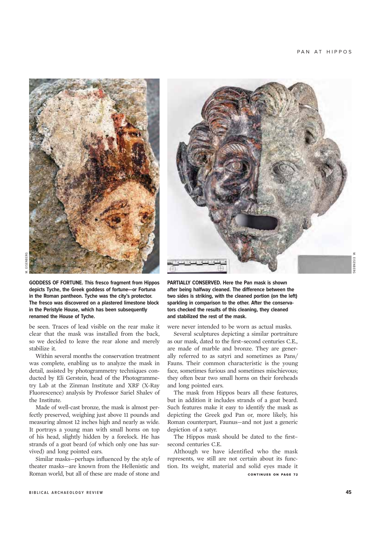



M. EISENBERG

**GODDESS OF FORTUNE. This fresco fragment from Hippos depicts Tyche, the Greek goddess of fortune—or Fortuna in the Roman pantheon. Tyche was the city's protector. The fresco was discovered on a plastered limestone block in the Peristyle House, which has been subsequently renamed the House of Tyche.**

be seen. Traces of lead visible on the rear make it clear that the mask was installed from the back, so we decided to leave the rear alone and merely stabilize it.

Within several months the conservation treatment was complete, enabling us to analyze the mask in detail, assisted by photogrammetry techniques conducted by Eli Gerstein, head of the Photogrammetry Lab at the Zinman Institute and XRF (X-Ray Fluorescence) analysis by Professor Sariel Shalev of the Institute.

Made of well-cast bronze, the mask is almost perfectly preserved, weighing just above 11 pounds and measuring almost 12 inches high and nearly as wide. It portrays a young man with small horns on top of his head, slightly hidden by a forelock. He has strands of a goat beard (of which only one has survived) and long pointed ears.

Similar masks—perhaps influenced by the style of theater masks—are known from the Hellenistic and Roman world, but all of these are made of stone and

**PARTIALLY CONSERVED. Here the Pan mask is shown after being halfway cleaned. The difference between the two sides is striking, with the cleaned portion (on the left) sparkling in comparison to the other. After the conservators checked the results of this cleaning, they cleaned and stabilized the rest of the mask.**

were never intended to be worn as actual masks.

Several sculptures depicting a similar portraiture as our mask, dated to the first–second centuries C.E., are made of marble and bronze. They are generally referred to as satyri and sometimes as Pans/ Fauns. Their common characteristic is the young face, sometimes furious and sometimes mischievous; they often bear two small horns on their foreheads and long pointed ears.

The mask from Hippos bears all these features, but in addition it includes strands of a goat beard. Such features make it easy to identify the mask as depicting the Greek god Pan or, more likely, his Roman counterpart, Faunus—and not just a generic depiction of a satyr.

The Hippos mask should be dated to the first– second centuries C.E.

Although we have identified who the mask represents, we still are not certain about its function. Its weight, material and solid eyes made it CONTINUES ON PAGE 72